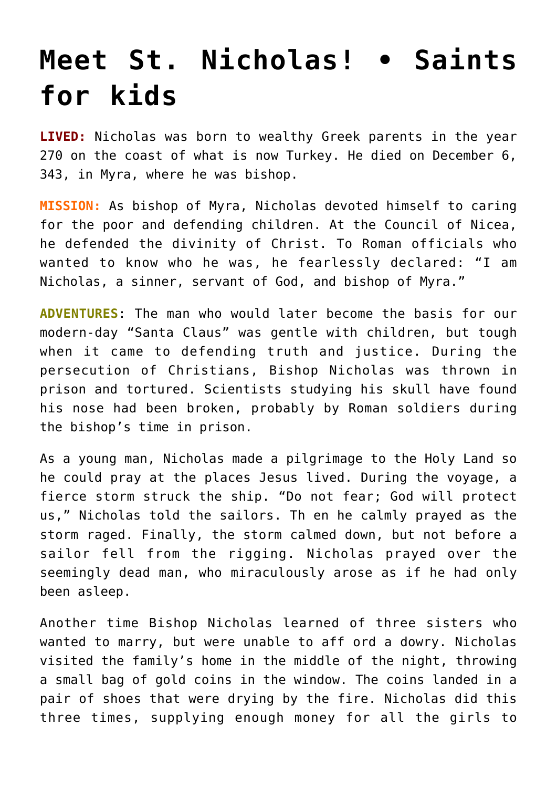## **[Meet St. Nicholas! • Saints](https://www.teachingcatholickids.com/meet-st-nicholas-%e2%80%a2-saints-for-kids/) [for kids](https://www.teachingcatholickids.com/meet-st-nicholas-%e2%80%a2-saints-for-kids/)**

**LIVED:** Nicholas was born to wealthy Greek parents in the year 270 on the coast of what is now Turkey. He died on December 6, 343, in Myra, where he was bishop.

**MISSION:** As bishop of Myra, Nicholas devoted himself to caring for the poor and defending children. At the Council of Nicea, he defended the divinity of Christ. To Roman officials who wanted to know who he was, he fearlessly declared: "I am Nicholas, a sinner, servant of God, and bishop of Myra."

**ADVENTURES**: The man who would later become the basis for our modern-day "Santa Claus" was gentle with children, but tough when it came to defending truth and justice. During the persecution of Christians, Bishop Nicholas was thrown in prison and tortured. Scientists studying his skull have found his nose had been broken, probably by Roman soldiers during the bishop's time in prison.

As a young man, Nicholas made a pilgrimage to the Holy Land so he could pray at the places Jesus lived. During the voyage, a fierce storm struck the ship. "Do not fear; God will protect us," Nicholas told the sailors. Th en he calmly prayed as the storm raged. Finally, the storm calmed down, but not before a sailor fell from the rigging. Nicholas prayed over the seemingly dead man, who miraculously arose as if he had only been asleep.

Another time Bishop Nicholas learned of three sisters who wanted to marry, but were unable to aff ord a dowry. Nicholas visited the family's home in the middle of the night, throwing a small bag of gold coins in the window. The coins landed in a pair of shoes that were drying by the fire. Nicholas did this three times, supplying enough money for all the girls to